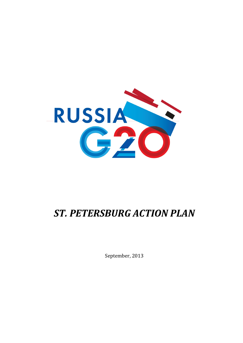

# *ST. PETERSBURG ACTION PLAN*

September, 2013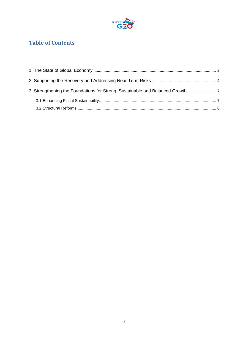

## **Table of Contents**

| 3. Strengthening the Foundations for Strong, Sustainable and Balanced Growth |  |
|------------------------------------------------------------------------------|--|
|                                                                              |  |
|                                                                              |  |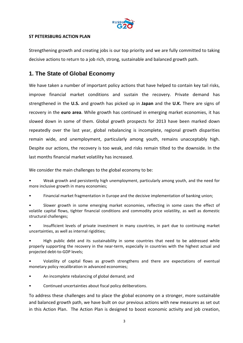

#### **ST PETERSBURG ACTION PLAN**

Strengthening growth and creating jobs is our top priority and we are fully committed to taking decisive actions to return to a job rich, strong, sustainable and balanced growth path.

## **1. The State of Global Economy**

We have taken a number of important policy actions that have helped to contain key tail risks, improve financial market conditions and sustain the recovery. Private demand has strengthened in the **U.S.** and growth has picked up in **Japan** and the **U.K.** There are signs of recovery in the **euro area**. While growth has continued in emerging market economies, it has slowed down in some of them. Global growth prospects for 2013 have been marked down repeatedly over the last year, global rebalancing is incomplete, regional growth disparities remain wide, and unemployment, particularly among youth, remains unacceptably high. Despite our actions, the recovery is too weak, and risks remain tilted to the downside. In the last months financial market volatility has increased.

We consider the main challenges to the global economy to be:

• Weak growth and persistently high unemployment, particularly among youth, and the need for more inclusive growth in many economies;

• Financial market fragmentation in Europe and the decisive implementation of banking union;

Slower growth in some emerging market economies, reflecting in some cases the effect of volatile capital flows, tighter financial conditions and commodity price volatility, as well as domestic structural challenges;

• Insufficient levels of private investment in many countries, in part due to continuing market uncertainties, as well as internal rigidities;

• High public debt and its sustainability in some countries that need to be addressed while properly supporting the recovery in the near-term, especially in countries with the highest actual and projected debt-to-GDP levels;

• Volatility of capital flows as growth strengthens and there are expectations of eventual monetary policy recalibration in advanced economies;

- An incomplete rebalancing of global demand; and
- Continued uncertainties about fiscal policy deliberations.

To address these challenges and to place the global economy on a stronger, more sustainable and balanced growth path, we have built on our previous actions with new measures as set out in this Action Plan. The Action Plan is designed to boost economic activity and job creation,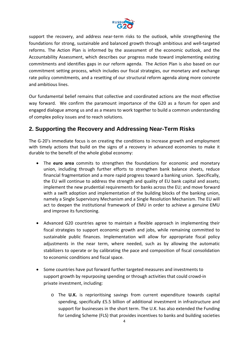

support the recovery, and address near-term risks to the outlook, while strengthening the foundations for strong, sustainable and balanced growth through ambitious and well‐targeted reforms. The Action Plan is informed by the assessment of the economic outlook, and the Accountability Assessment, which describes our progress made toward implementing existing commitments and identifies gaps in our reform agenda. The Action Plan is also based on our commitment setting process, which includes our fiscal strategies, our monetary and exchange rate policy commitments, and a resetting of our structural reform agenda along more concrete and ambitious lines.

Our fundamental belief remains that collective and coordinated actions are the most effective way forward. We confirm the paramount importance of the G20 as a forum for open and engaged dialogue among us and as a means to work together to build a common understanding of complex policy issues and to reach solutions.

## **2. Supporting the Recovery and Addressing Near-Term Risks**

The G-20's immediate focus is on creating the conditions to increase growth and employment with timely actions that build on the signs of a recovery in advanced economies to make it durable to the benefit of the whole global economy:

- The **euro area** commits to strengthen the foundations for economic and monetary union, including through further efforts to strengthen bank balance sheets, reduce financial fragmentation and a more rapid progress toward a banking union. Specifically, the EU will continue to address the strength and quality of EU bank capital and assets; implement the new prudential requirements for banks across the EU; and move forward with a swift adoption and implementation of the building blocks of the banking union, namely a Single Supervisory Mechanism and a Single Resolution Mechanism. The EU will act to deepen the institutional framework of EMU in order to achieve a genuine EMU and improve its functioning.
- Advanced G20 countries agree to maintain a flexible approach in implementing their fiscal strategies to support economic growth and jobs, while remaining committed to sustainable public finances. Implementation will allow for appropriate fiscal policy adjustments in the near term, where needed, such as by allowing the automatic stabilizers to operate or by calibrating the pace and composition of fiscal consolidation to economic conditions and fiscal space.
- Some countries have put forward further targeted measures and investments to support growth by repurposing spending or through activities that could crowd‐in private investment, including:
	- o The **U.K.** is reprioritising savings from current expenditure towards capital spending, specifically £5.5 billion of additional investment in infrastructure and support for businesses in the short term. The U.K. has also extended the Funding for Lending Scheme (FLS) that provides incentives to banks and building societies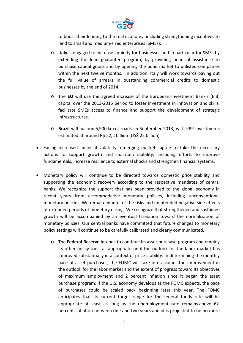

to boost their lending to the real economy, including strengthening incentives to lend to small and medium‐sized enterprises (SMEs).

- o **Italy** is engaged to increase liquidity for businesses and in particular for SMEs by extending the loan guarantee program, by providing financial assistance to purchase capital goods and by opening the bond market to unlisted companies within the next twelve months. In addition, Italy will work towards paying out the full value of arrears in outstanding commercial credits to domestic businesses by the end of 2014.
- o The **EU** will use the agreed increase of the European Investment Bank's (EIB) capital over the 2013‐2015 period to foster investment in innovation and skills, facilitate SMEs access to finance and support the development of strategic infrastructures.
- o **Brazil** will auction 6,900 km of roads, in September 2013, with PPP investments estimated at around R\$ 52,2 billion (US\$ 25 billion).
- Facing increased financial volatility, emerging markets agree to take the necessary actions to support growth and maintain stability, including efforts to improve fundamentals, increase resilience to external shocks and strengthen financial systems.
- Monetary policy will continue to be directed towards domestic price stability and supporting the economic recovery according to the respective mandates of central banks. We recognize the support that has been provided to the global economy in recent years from accommodative monetary policies, including unconventional monetary policies. We remain mindful of the risks and unintended negative side effects of extended periods of monetary easing. We recognize that strengthened and sustained growth will be accompanied by an eventual transition toward the normalization of monetary policies. Our central banks have committed that future changes to monetary policy settings will continue to be carefully calibrated and clearly communicated.
	- o The **Federal Reserve** intends to continue its asset purchase program and employ its other policy tools as appropriate until the outlook for the labor market has improved substantially in a context of price stability. In determining the monthly pace of asset purchases, the FOMC will take into account the improvement in the outlook for the labor market and the extent of progress toward its objectives of maximum employment and 2 percent inflation since it began the asset purchase program; if the U.S. economy develops as the FOMC expects, the pace of purchases could be scaled back beginning later this year. The FOMC anticipates that its current target range for the federal funds rate will be appropriate at least as long as the unemployment rate remains above  $6\frac{1}{2}$ percent, inflation between one and two years ahead is projected to be no more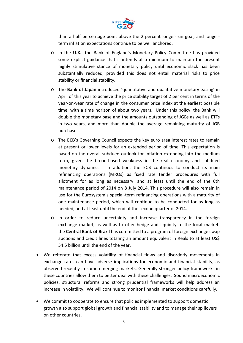

than a half percentage point above the 2 percent longer‐run goal, and longer‐ term inflation expectations continue to be well anchored.

- o In the **U.K.**, the Bank of England's Monetary Policy Committee has provided some explicit guidance that it intends at a minimum to maintain the present highly stimulative stance of monetary policy until economic slack has been substantially reduced, provided this does not entail material risks to price stability or financial stability.
- o The **Bank of Japan** introduced 'quantitative and qualitative monetary easing' in April of this year to achieve the price stability target of 2 per cent in terms of the year‐on‐year rate of change in the consumer price index at the earliest possible time, with a time horizon of about two years. Under this policy, the Bank will double the monetary base and the amounts outstanding of JGBs as well as ETFs in two years, and more than double the average remaining maturity of JGB purchases.
- o The **ECB**'s Governing Council expects the key euro area interest rates to remain at present or lower levels for an extended period of time. This expectation is based on the overall subdued outlook for inflation extending into the medium term, given the broad‐based weakness in the real economy and subdued monetary dynamics. In addition, the ECB continues to conduct its main refinancing operations (MROs) as fixed rate tender procedures with full allotment for as long as necessary, and at least until the end of the 6th maintenance period of 2014 on 8 July 2014. This procedure will also remain in use for the Eurosystem's special‐term refinancing operations with a maturity of one maintenance period, which will continue to be conducted for as long as needed, and at least until the end of the second quarter of 2014.
- o In order to reduce uncertainty and increase transparency in the foreign exchange market, as well as to offer hedge and liquidity to the local market, the **Central Bank of Brazil** has committed to a program of foreign exchange swap auctions and credit lines totaling an amount equivalent in Reals to at least US\$ 54.5 billion until the end of the year.
- We reiterate that excess volatility of financial flows and disorderly movements in exchange rates can have adverse implications for economic and financial stability, as observed recently in some emerging markets. Generally stronger policy frameworks in these countries allow them to better deal with these challenges. Sound macroeconomic policies, structural reforms and strong prudential frameworks will help address an increase in volatility. We will continue to monitor financial market conditions carefully.
- We commit to cooperate to ensure that policies implemented to support domestic growth also support global growth and financial stability and to manage their spillovers on other countries.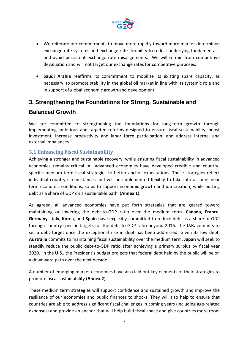

- We reiterate our commitments to move more rapidly toward more market‐determined exchange rate systems and exchange rate flexibility to reflect underlying fundamentals, and avoid persistent exchange rate misalignments. We will refrain from competitive devaluation and will not target our exchange rates for competitive purposes.
- **Saudi Arabia** reaffirms its commitment to mobilize its existing spare capacity, as necessary, to promote stability in the global oil market in line with its systemic role and in support of global economic growth and development.

## **3. Strengthening the Foundations for Strong, Sustainable and**

## **Balanced Growth**

We are committed to strengthening the foundations for long-term growth through implementing ambitious and targeted reforms designed to ensure fiscal sustainability, boost investment, increase productivity and labor force participation, and address internal and external imbalances.

### **3.1 Enhancing Fiscal Sustainability**

Achieving a stronger and sustainable recovery, while ensuring fiscal sustainability in advanced economies remains critical. All advanced economies have developed credible and country‐ specific medium term fiscal strategies to better anchor expectations. These strategies reflect individual country circumstances and will be implemented flexibly to take into account near term economic conditions, so as to support economic growth and job creation, while putting debt as a share of GDP on a sustainable path (**Annex 1**).

As agreed, all advanced economies have put forth strategies that are geared toward maintaining or lowering the debt‐to‐GDP ratio over the medium term. **Canada**, **France**, **Germany**, **Italy**, **Korea**, and **Spain** have explicitly committed to reduce debt as a share of GDP through country‐specific targets for the debt‐to‐GDP ratio beyond 2016. The **U.K.** commits to set a debt target once the exceptional rise in debt has been addressed. Given its low debt, **Australia** commits to maintaining fiscal sustainability over the medium term. **Japan** will seek to steadily reduce the public debt-to-GDP ratio after achieving a primary surplus by fiscal year 2020. In the **U.S.**, the President's budget projects that federal debt held by the public will be on a downward path over the next decade.

A number of emerging market economies have also laid out key elements of their strategies to promote fiscal sustainability (**Annex 2**).

These medium term strategies will support confidence and sustained growth and improve the resilience of our economies and public finances to shocks. They will also help to ensure that countries are able to address significant fiscal challenges in coming years (including age-related expenses) and provide an anchor that will help build fiscal space and give countries more room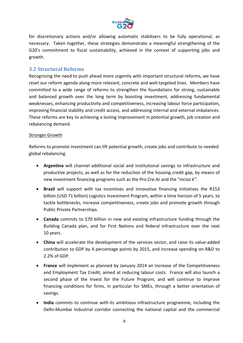

for discretionary actions and/or allowing automatic stabilizers to be fully operational, as necessary. Taken together, these strategies demonstrate a meaningful strengthening of the G20's commitment to fiscal sustainability, achieved in the context of supporting jobs and growth.

#### **3.2 Structural Reforms**

Recognizing the need to push ahead more urgently with important structural reforms, we have reset our reform agenda along more relevant, concrete and well‐targeted lines. Members have committed to a wide range of reforms to strengthen the foundations for strong, sustainable and balanced growth over the long term by boosting investment, addressing fundamental weaknesses, enhancing productivity and competitiveness, increasing labour force participation, improving financial stability and credit access, and addressing internal and external imbalances. These reforms are key to achieving a lasting improvement in potential growth, job creation and rebalancing demand.

#### Stronger Growth

Reforms to promote investment can lift potential growth, create jobs and contribute to needed global rebalancing.

- **Argentina** will channel additional social and institutional savings to infrastructure and productive projects, as well as for the reduction of the housing credit gap, by means of new investment financing programs such as the Pro.Cre.Ar and the "*inciso k"*.
- **Brazil** will support with tax incentives and innovative financing initiatives the R153 billion (USD 71 billion) Logistics Investment Program, within a time horizon of 5 years, to tackle bottlenecks, increase competitiveness, create jobs and promote growth through Public Private Partnerships.
- **Canada** commits to \$70 billion in new and existing infrastructure funding through the Building Canada plan, and for First Nations and federal infrastructure over the next 10 years.
- **China** will accelerate the development of the services sector, and raise its value‐added contribution to GDP by 4 percentage points by 2015, and increase spending on R&D to 2.2% of GDP.
- **France** will implement as planned by January 2014 an increase of the Competitiveness and Employment Tax Credit, aimed at reducing labour costs. France will also launch a second phase of the Invest for the Future Program, and will continue to improve financing conditions for firms, in particular for SMEs, through a better orientation of savings.
- **India** commits to continue with its ambitious infrastructure programme, including the Delhi‐Mumbai Industrial corridor connecting the national capital and the commercial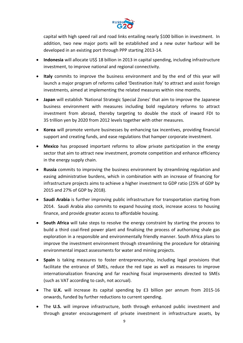

capital with high speed rail and road links entailing nearly \$100 billion in investment. In addition, two new major ports will be established and a new outer harbour will be developed in an existing port through PPP starting 2013‐14.

- **Indonesia** will allocate US\$ 18 billion in 2013 in capital spending, including infrastructure investment, to improve national and regional connectivity.
- **Italy** commits to improve the business environment and by the end of this year will launch a major program of reforms called 'Destination Italy' to attract and assist foreign investments, aimed at implementing the related measures within nine months.
- **Japan** will establish 'National Strategic Special Zones' that aim to improve the Japanese business environment with measures including bold regulatory reforms to attract investment from abroad, thereby targeting to double the stock of inward FDI to 35 trillion yen by 2020 from 2012 levels together with other measures.
- **Korea** will promote venture businesses by enhancing tax incentives, providing financial support and creating funds, and ease regulations that hamper corporate investment.
- **Mexico** has proposed important reforms to allow private participation in the energy sector that aim to attract new investment, promote competition and enhance efficiency in the energy supply chain.
- **Russia** commits to improving the business environment by streamlining regulation and easing administrative burdens, which in combination with an increase of financing for infrastructure projects aims to achieve a higher investment to GDP ratio (25% of GDP by 2015 and 27% of GDP by 2018).
- **Saudi Arabia** is further improving public infrastructure for transportation starting from 2014. Saudi Arabia also commits to expand housing stock, increase access to housing finance, and provide greater access to affordable housing.
- **South Africa** will take steps to resolve the energy constraint by starting the process to build a third coal‐fired power plant and finalising the process of authorising shale gas exploration in a responsible and environmentally friendly manner. South Africa plans to improve the investment environment through streamlining the procedure for obtaining environmental impact assessments for water and mining projects.
- **Spain** is taking measures to foster entrepreneurship, including legal provisions that facilitate the entrance of SMEs, reduce the red tape as well as measures to improve internationalization financing and far reaching fiscal improvements directed to SMEs (such as VAT according to cash, not accrual).
- The **U.K.** will increase its capital spending by £3 billion per annum from 2015‐16 onwards, funded by further reductions to current spending.
- The **U.S.** will improve infrastructure, both through enhanced public investment and through greater encouragement of private investment in infrastructure assets, by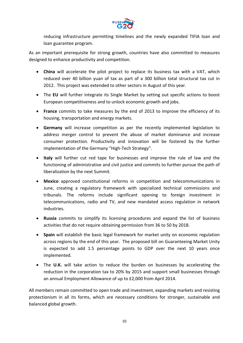

reducing infrastructure permitting timelines and the newly expanded TIFIA loan and loan guarantee program.

As an important prerequisite for strong growth, countries have also committed to measures designed to enhance productivity and competition.

- **China** will accelerate the pilot project to replace its business tax with a VAT, which reduced over 40 billion yuan of tax as part of a 300 billion total structural tax cut in 2012. This project was extended to other sectors in August of this year.
- The **EU** will further integrate its Single Market by setting out specific actions to boost European competitiveness and to unlock economic growth and jobs.
- **France** commits to take measures by the end of 2013 to improve the efficiency of its housing, transportation and energy markets.
- **Germany** will increase competition as per the recently implemented legislation to address merger control to prevent the abuse of market dominance and increase consumer protection. Productivity and innovation will be fostered by the further implementation of the Germany "High‐Tech Strategy"*.*
- **Italy** will further cut red tape for businesses and improve the rule of law and the functioning of administrative and civil justice and commits to further pursue the path of liberalization by the next Summit.
- **Mexico** approved constitutional reforms in competition and telecommunications in June, creating a regulatory framework with specialized technical commissions and tribunals. The reforms include significant opening to foreign investment in telecommunications, radio and TV, and new mandated access regulation in network industries.
- **Russia** commits to simplify its licensing procedures and expand the list of business activities that do not require obtaining permission from 36 to 50 by 2018.
- **Spain** will establish the basic legal framework for market unity on economic regulation across regions by the end of this year. The proposed bill on Guaranteeing Market Unity is expected to add 1.5 percentage points to GDP over the next 10 years once implemented.
- The **U.K.** will take action to reduce the burden on businesses by accelerating the reduction in the corporation tax to 20% by 2015 and support small businesses through an annual Employment Allowance of up to £2,000 from April 2014.

All members remain committed to open trade and investment, expanding markets and resisting protectionism in all its forms, which are necessary conditions for stronger, sustainable and balanced global growth.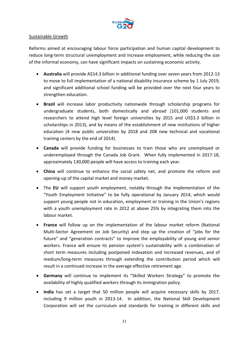

#### Sustainable Growth

Reforms aimed at encouraging labour force participation and human capital development to reduce long‐term structural unemployment and increase employment, while reducing the size of the informal economy, can have significant impacts on sustaining economic activity.

- **Australia** will provide A\$14.3 billion in additional funding over seven years from 2012-13 to move to full implementation of a national disability insurance scheme by 1 July 2019, and significant additional school funding will be provided over the next four years to strengthen education.
- **Brazil** will increase labor productivity nationwide through scholarship programs for undergraduate students, both domestically and abroad (101,000 students and researchers to attend high level foreign universities by 2015 and US\$3.3 billion in scholarships in 2013), and by means of the establishment of new institutions of higher education (4 new public universities by 2018 and 208 new technical and vocational training centers by the end of 2014).
- **Canada** will provide funding for businesses to train those who are unemployed or underemployed through the Canada Job Grant. When fully implemented in 2017‐18, approximately 130,000 people will have access to training each year.
- **China** will continue to enhance the social safety net, and promote the reform and opening‐up of the capital market and money market.
- The **EU** will support youth employment, notably through the implementation of the "Youth Employment Initiative" to be fully operational by January 2014, which would support young people not in education, employment or training in the Union's regions with a youth unemployment rate in 2012 at above 25% by integrating them into the labour market.
- **France** will follow up on the implementation of the labour market reform (National Multi‐Sector Agreement on Job Security) and step up the creation of "jobs for the future" and "generation contracts" to improve the employability of young and senior workers. France will ensure its pension system's sustainability with a combination of short term measures including postponed indexation and increased revenues, and of medium/long‐term measures through extending the contribution period which will result in a continued increase in the average effective retirement age.
- **Germany** will continue to implement its "Skilled Workers Strategy" to promote the availability of highly qualified workers through its immigration policy.
- **India** has set a target that 50 million people will acquire necessary skills by 2017, including 9 million youth in 2013-14. In addition, the National Skill Development Corporation will set the curriculum and standards for training in different skills and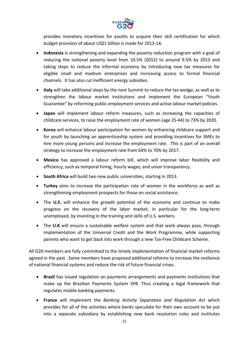

provides monetary incentives for youths to acquire their skill certification for which budget provision of about US\$1 billion is made for 2013‐14.

- **Indonesia** is strengthening and expanding the poverty reduction program with a goal of reducing the national poverty level from 10.5% (2012) to around 9.5% by 2013 and taking steps to reduce the informal economy by introducing new tax measures for eligible small and medium enterprises and increasing access to formal financial channels. It has also cut inefficient energy subsidies.
- **Italy** will take additional steps by the next Summit to reduce the tax wedge, as well as to strengthen the labour market institutions and implement the European "Youth Guarantee" by reforming public employment services and active labour market policies.
- **Japan** will implement labour reform measures, such as increasing the capacities of childcare services, to raise the employment rate of women (age 25‐44) to 73% by 2020.
- **Korea** will enhance labour participation for women by enhancing childcare support and for youth by launching an apprenticeship system and providing incentives for SMEs to hire more young persons and increase the employment rate. This is part of an overall strategy to increase the employment rate from 64% to 70% by 2017.
- **Mexico** has approved a labour reform bill, which will improve labor flexibility and efficiency, such as temporal hiring, hourly wages, and union transparency.
- **South Africa** will build two new public universities, starting in 2013.
- **Turkey** aims to increase the participation rate of women in the workforce as well as strengthening employment prospects for those on social assistance.
- The **U.S.** will enhance the growth potential of the economy and continue to make progress on the recovery of the labor market, in particular for the long‐term unemployed, by investing in the training and skills of U.S. workers.
- The **U.K** will ensure a sustainable welfare system and that work always pays, through implementation of the Universal Credit and the Work Programme, while supporting parents who want to get back into work through a new Tax‐Free Childcare Scheme.

All G20 members are fully committed to the timely implementation of financial market reforms agreed in the past. Some members have proposed additional reforms to increase the resilience of national financial systems and reduce the risk of future financial crises.

- **Brazil** has issued regulation on payments arrangements and payments institutions that make up the Brazilian Payments System SPB. Thus creating a legal framework that regulates mobile banking payments.
- **France** will implement the *Banking Activity Separation and Regulation Act* which provides for all of the activities where banks speculate for their own account to be put into a separate subsidiary by establishing new bank resolution rules and institutes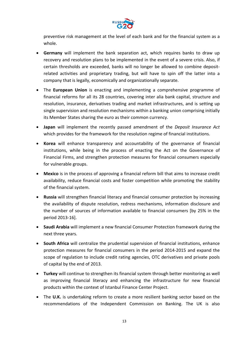

preventive risk management at the level of each bank and for the financial system as a whole.

- **Germany** will implement the bank separation act, which requires banks to draw up recovery and resolution plans to be implemented in the event of a severe crisis. Also, if certain thresholds are exceeded, banks will no longer be allowed to combine deposit‐ related activities and proprietary trading, but will have to spin off the latter into a company that is legally, economically and organizationally separate.
- The **European Union** is enacting and implementing a comprehensive programme of financial reforms for all its 28 countries, covering inter alia bank capital, structure and resolution, insurance, derivatives trading and market infrastructures, and is setting up single supervision and resolution mechanisms within a banking union comprising initially its Member States sharing the euro as their common currency.
- **Japan** will implement the recently passed amendment of the *Deposit Insurance Act* which provides for the framework for the resolution regime of financial institutions.
- **Korea** will enhance transparency and accountability of the governance of financial institutions, while being in the process of enacting the Act on the Governance of Financial Firms, and strengthen protection measures for financial consumers especially for vulnerable groups.
- **Mexico** is in the process of approving a financial reform bill that aims to increase credit availability, reduce financial costs and foster competition while promoting the stability of the financial system.
- **Russia** will strengthen financial literacy and financial consumer protection by increasing the availability of dispute resolution, redress mechanisms, information disclosure and the number of sources of information available to financial consumers [by 25% in the period 2013‐16].
- **Saudi Arabia** will implement a new financial Consumer Protection framework during the next three years.
- **South Africa** will centralize the prudential supervision of financial institutions, enhance protection measures for financial consumers in the period 2014‐2015 and expand the scope of regulation to include credit rating agencies, OTC derivatives and private pools of capital by the end of 2013.
- **Turkey** will continue to strengthen its financial system through better monitoring as well as improving financial literacy and enhancing the infrastructure for new financial products within the context of Istanbul Finance Center Project.
- The **U.K.** is undertaking reform to create a more resilient banking sector based on the recommendations of the Independent Commission on Banking. The UK is also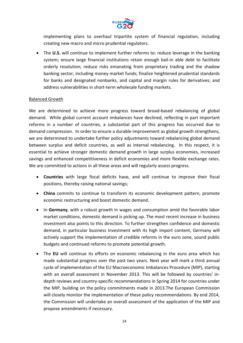

implementing plans to overhaul tripartite system of financial regulation, including creating new macro and micro prudential regulators.

 The **U.S.** will continue to implement further reforms to: reduce leverage in the banking system; ensure large financial institutions retain enough bail-in able debt to facilitate orderly resolution; reduce risks emanating from proprietary trading and the shadow banking sector, including money market funds; finalize heightened prudential standards for banks and designated nonbanks, and capital and margin rules for derivatives; and address vulnerabilities in short‐term wholesale funding markets.

#### Balanced Growth

We are determined to achieve more progress toward broad-based rebalancing of global demand. While global current account imbalances have declined, reflecting in part important reforms in a number of countries, a substantial part of this progress has occurred due to demand compression. In order to ensure a durable improvement as global growth strengthens, we are determined to undertake further policy adjustments toward rebalancing global demand between surplus and deficit countries, as well as internal rebalancing. In this respect, it is essential to achieve stronger domestic demand growth in large surplus economies, increased savings and enhanced competitiveness in deficit economies and more flexible exchange rates. We are committed to actions in all these areas and will regularly assess progress.

- **Countries** with large fiscal deficits have, and will continue to improve their fiscal positions, thereby raising national savings;
- **China** commits to continue to transform its economic development pattern, promote economic restructuring and boost domestic demand.
- In Germany, with a robust growth in wages and consumption amid the favorable labor market conditions, domestic demand is picking up. The most recent increase in business investment also points to this direction. To further strengthen confidence and domestic demand, in particular business investment with its high import content, Germany will actively support the implementation of credible reforms in the euro zone, sound public budgets and continued reforms to promote potential growth.
- The **EU** will continue its efforts on economic rebalancing in the euro area which has made substantial progress over the past two years. Next year will mark a third annual cycle of implementation of the EU Macroeconomic Imbalances Procedure (MIP), starting with an overall assessment in November 2013. This will be followed by countries' in‐ depth reviews and country‐specific recommendations in Spring 2014 for countries under the MIP, building on the policy commitments made in 2013.The European Commission will closely monitor the implementation of these policy recommendations. By end 2014, the Commission will undertake an overall assessment of the application of the MIP and propose amendments if necessary.